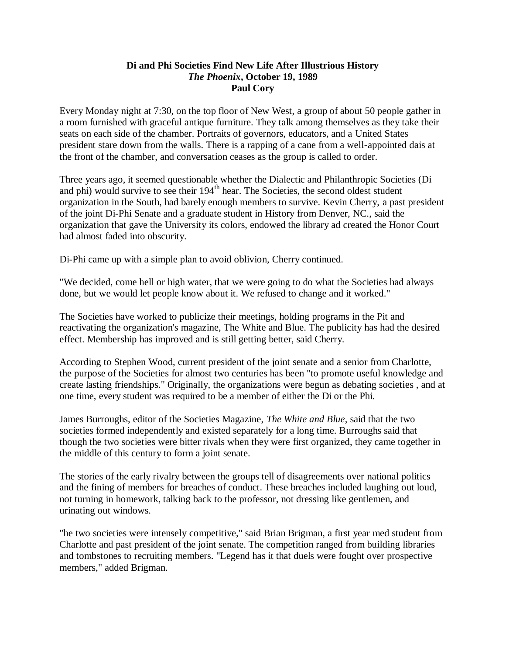## **Di and Phi Societies Find New Life After Illustrious History** *The Phoenix***, October 19, 1989 Paul Cory**

Every Monday night at 7:30, on the top floor of New West, a group of about 50 people gather in a room furnished with graceful antique furniture. They talk among themselves as they take their seats on each side of the chamber. Portraits of governors, educators, and a United States president stare down from the walls. There is a rapping of a cane from a well-appointed dais at the front of the chamber, and conversation ceases as the group is called to order.

Three years ago, it seemed questionable whether the Dialectic and Philanthropic Societies (Di and phi) would survive to see their  $194<sup>th</sup>$  hear. The Societies, the second oldest student organization in the South, had barely enough members to survive. Kevin Cherry, a past president of the joint Di-Phi Senate and a graduate student in History from Denver, NC., said the organization that gave the University its colors, endowed the library ad created the Honor Court had almost faded into obscurity.

Di-Phi came up with a simple plan to avoid oblivion, Cherry continued.

"We decided, come hell or high water, that we were going to do what the Societies had always done, but we would let people know about it. We refused to change and it worked."

The Societies have worked to publicize their meetings, holding programs in the Pit and reactivating the organization's magazine, The White and Blue. The publicity has had the desired effect. Membership has improved and is still getting better, said Cherry.

According to Stephen Wood, current president of the joint senate and a senior from Charlotte, the purpose of the Societies for almost two centuries has been "to promote useful knowledge and create lasting friendships." Originally, the organizations were begun as debating societies , and at one time, every student was required to be a member of either the Di or the Phi.

James Burroughs, editor of the Societies Magazine, *The White and Blue*, said that the two societies formed independently and existed separately for a long time. Burroughs said that though the two societies were bitter rivals when they were first organized, they came together in the middle of this century to form a joint senate.

The stories of the early rivalry between the groups tell of disagreements over national politics and the fining of members for breaches of conduct. These breaches included laughing out loud, not turning in homework, talking back to the professor, not dressing like gentlemen, and urinating out windows.

"he two societies were intensely competitive," said Brian Brigman, a first year med student from Charlotte and past president of the joint senate. The competition ranged from building libraries and tombstones to recruiting members. "Legend has it that duels were fought over prospective members," added Brigman.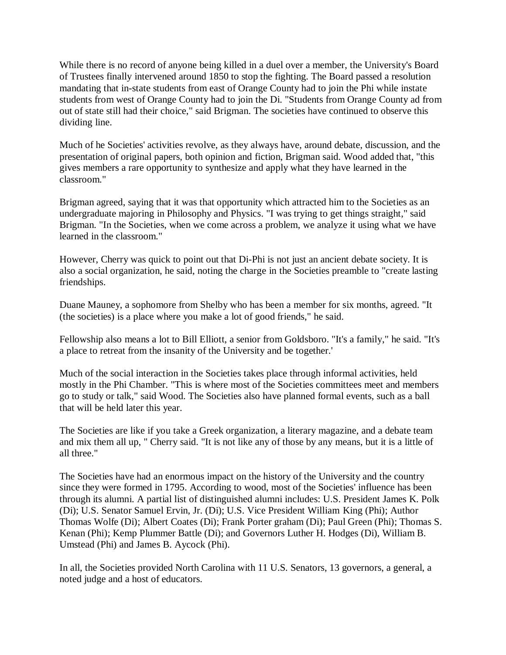While there is no record of anyone being killed in a duel over a member, the University's Board of Trustees finally intervened around 1850 to stop the fighting. The Board passed a resolution mandating that in-state students from east of Orange County had to join the Phi while instate students from west of Orange County had to join the Di. "Students from Orange County ad from out of state still had their choice," said Brigman. The societies have continued to observe this dividing line.

Much of he Societies' activities revolve, as they always have, around debate, discussion, and the presentation of original papers, both opinion and fiction, Brigman said. Wood added that, "this gives members a rare opportunity to synthesize and apply what they have learned in the classroom."

Brigman agreed, saying that it was that opportunity which attracted him to the Societies as an undergraduate majoring in Philosophy and Physics. "I was trying to get things straight," said Brigman. "In the Societies, when we come across a problem, we analyze it using what we have learned in the classroom."

However, Cherry was quick to point out that Di-Phi is not just an ancient debate society. It is also a social organization, he said, noting the charge in the Societies preamble to "create lasting friendships.

Duane Mauney, a sophomore from Shelby who has been a member for six months, agreed. "It (the societies) is a place where you make a lot of good friends," he said.

Fellowship also means a lot to Bill Elliott, a senior from Goldsboro. "It's a family," he said. "It's a place to retreat from the insanity of the University and be together.'

Much of the social interaction in the Societies takes place through informal activities, held mostly in the Phi Chamber. "This is where most of the Societies committees meet and members go to study or talk," said Wood. The Societies also have planned formal events, such as a ball that will be held later this year.

The Societies are like if you take a Greek organization, a literary magazine, and a debate team and mix them all up, " Cherry said. "It is not like any of those by any means, but it is a little of all three."

The Societies have had an enormous impact on the history of the University and the country since they were formed in 1795. According to wood, most of the Societies' influence has been through its alumni. A partial list of distinguished alumni includes: U.S. President James K. Polk (Di); U.S. Senator Samuel Ervin, Jr. (Di); U.S. Vice President William King (Phi); Author Thomas Wolfe (Di); Albert Coates (Di); Frank Porter graham (Di); Paul Green (Phi); Thomas S. Kenan (Phi); Kemp Plummer Battle (Di); and Governors Luther H. Hodges (Di), William B. Umstead (Phi) and James B. Aycock (Phi).

In all, the Societies provided North Carolina with 11 U.S. Senators, 13 governors, a general, a noted judge and a host of educators.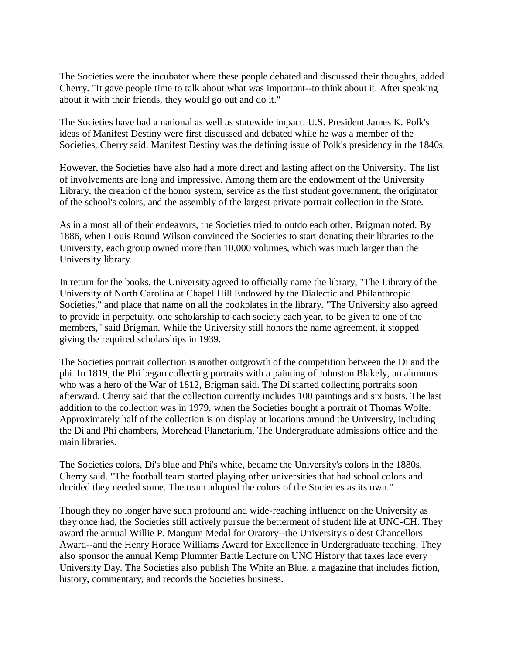The Societies were the incubator where these people debated and discussed their thoughts, added Cherry. "It gave people time to talk about what was important--to think about it. After speaking about it with their friends, they would go out and do it."

The Societies have had a national as well as statewide impact. U.S. President James K. Polk's ideas of Manifest Destiny were first discussed and debated while he was a member of the Societies, Cherry said. Manifest Destiny was the defining issue of Polk's presidency in the 1840s.

However, the Societies have also had a more direct and lasting affect on the University. The list of involvements are long and impressive. Among them are the endowment of the University Library, the creation of the honor system, service as the first student government, the originator of the school's colors, and the assembly of the largest private portrait collection in the State.

As in almost all of their endeavors, the Societies tried to outdo each other, Brigman noted. By 1886, when Louis Round Wilson convinced the Societies to start donating their libraries to the University, each group owned more than 10,000 volumes, which was much larger than the University library.

In return for the books, the University agreed to officially name the library, "The Library of the University of North Carolina at Chapel Hill Endowed by the Dialectic and Philanthropic Societies," and place that name on all the bookplates in the library. "The University also agreed to provide in perpetuity, one scholarship to each society each year, to be given to one of the members," said Brigman. While the University still honors the name agreement, it stopped giving the required scholarships in 1939.

The Societies portrait collection is another outgrowth of the competition between the Di and the phi. In 1819, the Phi began collecting portraits with a painting of Johnston Blakely, an alumnus who was a hero of the War of 1812, Brigman said. The Di started collecting portraits soon afterward. Cherry said that the collection currently includes 100 paintings and six busts. The last addition to the collection was in 1979, when the Societies bought a portrait of Thomas Wolfe. Approximately half of the collection is on display at locations around the University, including the Di and Phi chambers, Morehead Planetarium, The Undergraduate admissions office and the main libraries.

The Societies colors, Di's blue and Phi's white, became the University's colors in the 1880s, Cherry said. "The football team started playing other universities that had school colors and decided they needed some. The team adopted the colors of the Societies as its own."

Though they no longer have such profound and wide-reaching influence on the University as they once had, the Societies still actively pursue the betterment of student life at UNC-CH. They award the annual Willie P. Mangum Medal for Oratory--the University's oldest Chancellors Award--and the Henry Horace Williams Award for Excellence in Undergraduate teaching. They also sponsor the annual Kemp Plummer Battle Lecture on UNC History that takes lace every University Day. The Societies also publish The White an Blue, a magazine that includes fiction, history, commentary, and records the Societies business.